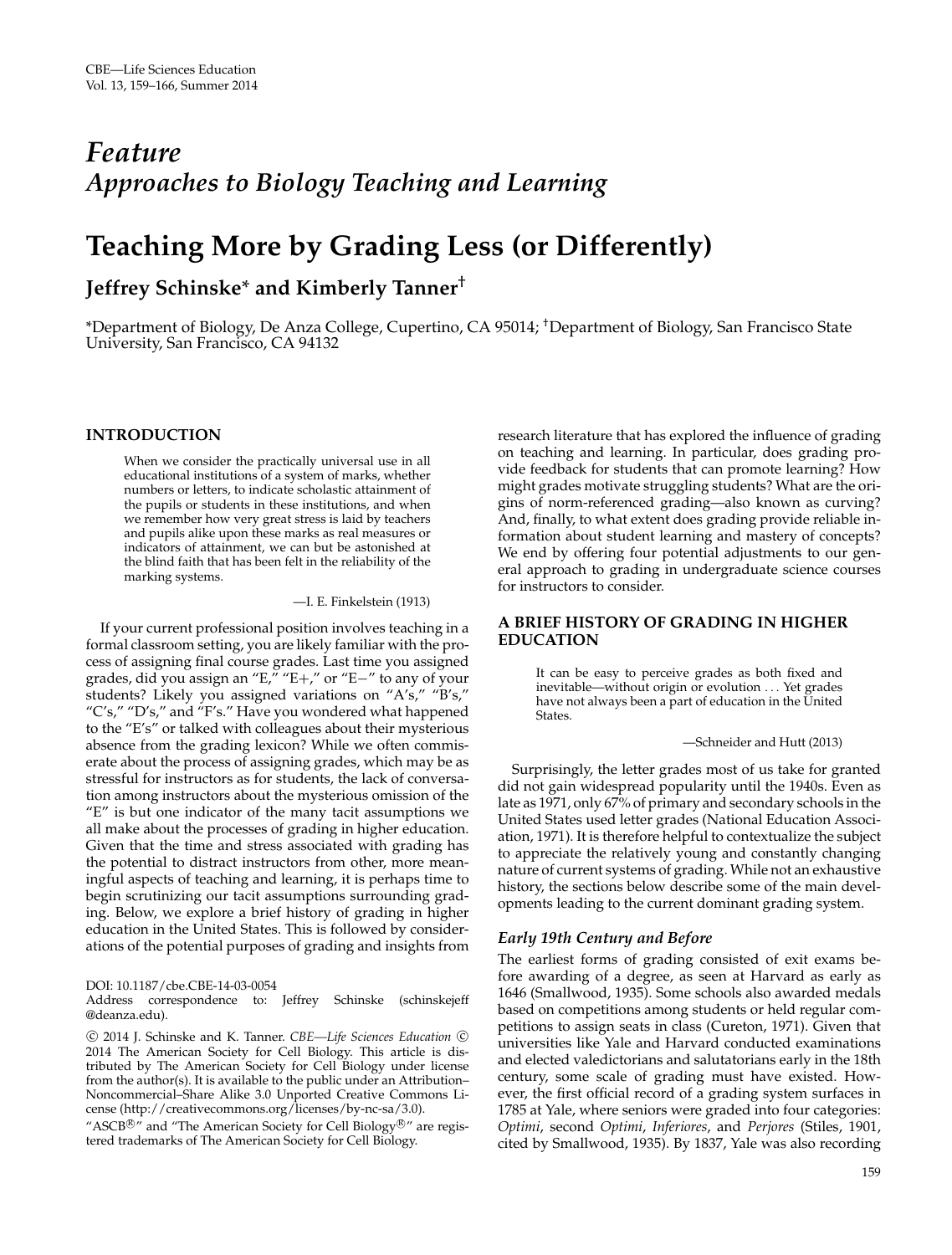# *Feature Approaches to Biology Teaching and Learning*

# **Teaching More by Grading Less (or Differently)**

# **Jeffrey Schinske**\* **and Kimberly Tanner**†

\*Department of Biology, De Anza College, Cupertino, CA 95014; †Department of Biology, San Francisco State University, San Francisco, CA 94132

#### **INTRODUCTION**

When we consider the practically universal use in all educational institutions of a system of marks, whether numbers or letters, to indicate scholastic attainment of the pupils or students in these institutions, and when we remember how very great stress is laid by teachers and pupils alike upon these marks as real measures or indicators of attainment, we can but be astonished at the blind faith that has been felt in the reliability of the marking systems.

—I. E. Finkelstein (1913)

If your current professional position involves teaching in a formal classroom setting, you are likely familiar with the process of assigning final course grades. Last time you assigned grades, did you assign an "E," "E+," or "E−" to any of your students? Likely you assigned variations on "A's," "B's," "C's," "D's," and "F's." Have you wondered what happened to the "E's" or talked with colleagues about their mysterious absence from the grading lexicon? While we often commiserate about the process of assigning grades, which may be as stressful for instructors as for students, the lack of conversation among instructors about the mysterious omission of the "E" is but one indicator of the many tacit assumptions we all make about the processes of grading in higher education. Given that the time and stress associated with grading has the potential to distract instructors from other, more meaningful aspects of teaching and learning, it is perhaps time to begin scrutinizing our tacit assumptions surrounding grading. Below, we explore a brief history of grading in higher education in the United States. This is followed by considerations of the potential purposes of grading and insights from

#### DOI: 10.1187/cbe.CBE-14-03-0054

Address correspondence to: Jeffrey Schinske (schinskejeff @deanza.edu).

© 2014 J. Schinske and K. Tanner. CBE-Life Sciences Education © 2014 The American Society for Cell Biology. This article is distributed by The American Society for Cell Biology under license from the author(s). It is available to the public under an Attribution– Noncommercial–Share Alike 3.0 Unported Creative Commons License [\(http://creativecommons.org/licenses/by-nc-sa/3.0\)](http://creativecommons.org/licenses/by-nc-sa/3.0).

"ASCB<sup>®</sup>" and "The American Society for Cell Biology<sup>®</sup>" are registered trademarks of The American Society for Cell Biology.

research literature that has explored the influence of grading on teaching and learning. In particular, does grading provide feedback for students that can promote learning? How might grades motivate struggling students? What are the origins of norm-referenced grading—also known as curving? And, finally, to what extent does grading provide reliable information about student learning and mastery of concepts? We end by offering four potential adjustments to our general approach to grading in undergraduate science courses for instructors to consider.

#### **A BRIEF HISTORY OF GRADING IN HIGHER EDUCATION**

It can be easy to perceive grades as both fixed and inevitable—without origin or evolution ... Yet grades have not always been a part of education in the United States.

#### —Schneider and Hutt (2013)

Surprisingly, the letter grades most of us take for granted did not gain widespread popularity until the 1940s. Even as late as 1971, only 67% of primary and secondary schools in the United States used letter grades (National Education Association, 1971). It is therefore helpful to contextualize the subject to appreciate the relatively young and constantly changing nature of current systems of grading. While not an exhaustive history, the sections below describe some of the main developments leading to the current dominant grading system.

#### *Early 19th Century and Before*

The earliest forms of grading consisted of exit exams before awarding of a degree, as seen at Harvard as early as 1646 (Smallwood, 1935). Some schools also awarded medals based on competitions among students or held regular competitions to assign seats in class (Cureton, 1971). Given that universities like Yale and Harvard conducted examinations and elected valedictorians and salutatorians early in the 18th century, some scale of grading must have existed. However, the first official record of a grading system surfaces in 1785 at Yale, where seniors were graded into four categories: *Optimi*, second *Optimi*, *Inferiores*, and *Perjores* (Stiles, 1901, cited by Smallwood, 1935). By 1837, Yale was also recording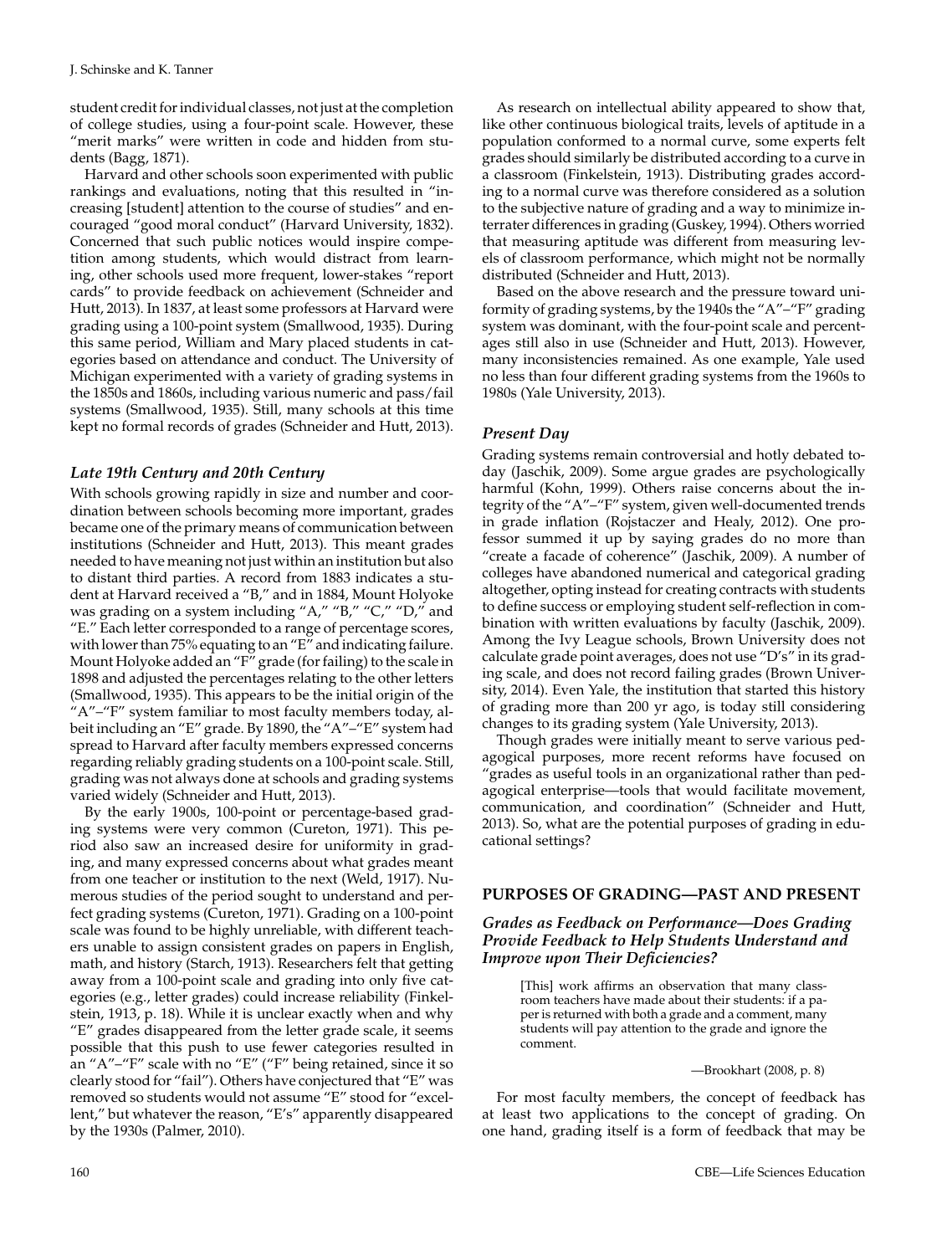student credit for individual classes, not just at the completion of college studies, using a four-point scale. However, these "merit marks" were written in code and hidden from students (Bagg, 1871).

Harvard and other schools soon experimented with public rankings and evaluations, noting that this resulted in "increasing [student] attention to the course of studies" and encouraged "good moral conduct" (Harvard University, 1832). Concerned that such public notices would inspire competition among students, which would distract from learning, other schools used more frequent, lower-stakes "report cards" to provide feedback on achievement (Schneider and Hutt, 2013). In 1837, at least some professors at Harvard were grading using a 100-point system (Smallwood, 1935). During this same period, William and Mary placed students in categories based on attendance and conduct. The University of Michigan experimented with a variety of grading systems in the 1850s and 1860s, including various numeric and pass/fail systems (Smallwood, 1935). Still, many schools at this time kept no formal records of grades (Schneider and Hutt, 2013).

# *Late 19th Century and 20th Century*

With schools growing rapidly in size and number and coordination between schools becoming more important, grades became one of the primary means of communication between institutions (Schneider and Hutt, 2013). This meant grades needed to have meaning not just within an institution but also to distant third parties. A record from 1883 indicates a student at Harvard received a "B," and in 1884, Mount Holyoke was grading on a system including "A," "B," "C," "D," and "E." Each letter corresponded to a range of percentage scores, with lower than 75% equating to an "E" and indicating failure. Mount Holyoke added an "F" grade (for failing) to the scale in 1898 and adjusted the percentages relating to the other letters (Smallwood, 1935). This appears to be the initial origin of the "A"–"F" system familiar to most faculty members today, albeit including an "E" grade. By 1890, the "A"–"E" system had spread to Harvard after faculty members expressed concerns regarding reliably grading students on a 100-point scale. Still, grading was not always done at schools and grading systems varied widely (Schneider and Hutt, 2013).

By the early 1900s, 100-point or percentage-based grading systems were very common (Cureton, 1971). This period also saw an increased desire for uniformity in grading, and many expressed concerns about what grades meant from one teacher or institution to the next (Weld, 1917). Numerous studies of the period sought to understand and perfect grading systems (Cureton, 1971). Grading on a 100-point scale was found to be highly unreliable, with different teachers unable to assign consistent grades on papers in English, math, and history (Starch, 1913). Researchers felt that getting away from a 100-point scale and grading into only five categories (e.g., letter grades) could increase reliability (Finkelstein, 1913, p. 18). While it is unclear exactly when and why "E" grades disappeared from the letter grade scale, it seems possible that this push to use fewer categories resulted in an "A"–"F" scale with no "E" ("F" being retained, since it so clearly stood for "fail"). Others have conjectured that "E" was removed so students would not assume "E" stood for "excellent," but whatever the reason, "E's" apparently disappeared by the 1930s (Palmer, 2010).

As research on intellectual ability appeared to show that, like other continuous biological traits, levels of aptitude in a population conformed to a normal curve, some experts felt grades should similarly be distributed according to a curve in a classroom (Finkelstein, 1913). Distributing grades according to a normal curve was therefore considered as a solution to the subjective nature of grading and a way to minimize interrater differences in grading (Guskey, 1994). Others worried that measuring aptitude was different from measuring levels of classroom performance, which might not be normally distributed (Schneider and Hutt, 2013).

Based on the above research and the pressure toward uniformity of grading systems, by the 1940s the "A"–"F" grading system was dominant, with the four-point scale and percentages still also in use (Schneider and Hutt, 2013). However, many inconsistencies remained. As one example, Yale used no less than four different grading systems from the 1960s to 1980s (Yale University, 2013).

# *Present Day*

Grading systems remain controversial and hotly debated today (Jaschik, 2009). Some argue grades are psychologically harmful (Kohn, 1999). Others raise concerns about the integrity of the "A"–"F" system, given well-documented trends in grade inflation (Rojstaczer and Healy, 2012). One professor summed it up by saying grades do no more than "create a facade of coherence" (Jaschik, 2009). A number of colleges have abandoned numerical and categorical grading altogether, opting instead for creating contracts with students to define success or employing student self-reflection in combination with written evaluations by faculty (Jaschik, 2009). Among the Ivy League schools, Brown University does not calculate grade point averages, does not use "D's" in its grading scale, and does not record failing grades (Brown University, 2014). Even Yale, the institution that started this history of grading more than 200 yr ago, is today still considering changes to its grading system (Yale University, 2013).

Though grades were initially meant to serve various pedagogical purposes, more recent reforms have focused on "grades as useful tools in an organizational rather than pedagogical enterprise—tools that would facilitate movement, communication, and coordination" (Schneider and Hutt, 2013). So, what are the potential purposes of grading in educational settings?

#### **PURPOSES OF GRADING—PAST AND PRESENT**

*Grades as Feedback on Performance—Does Grading Provide Feedback to Help Students Understand and Improve upon Their Deficiencies?*

> [This] work affirms an observation that many classroom teachers have made about their students: if a paper is returned with both a grade and a comment, many students will pay attention to the grade and ignore the comment.

> > —Brookhart (2008, p. 8)

For most faculty members, the concept of feedback has at least two applications to the concept of grading. On one hand, grading itself is a form of feedback that may be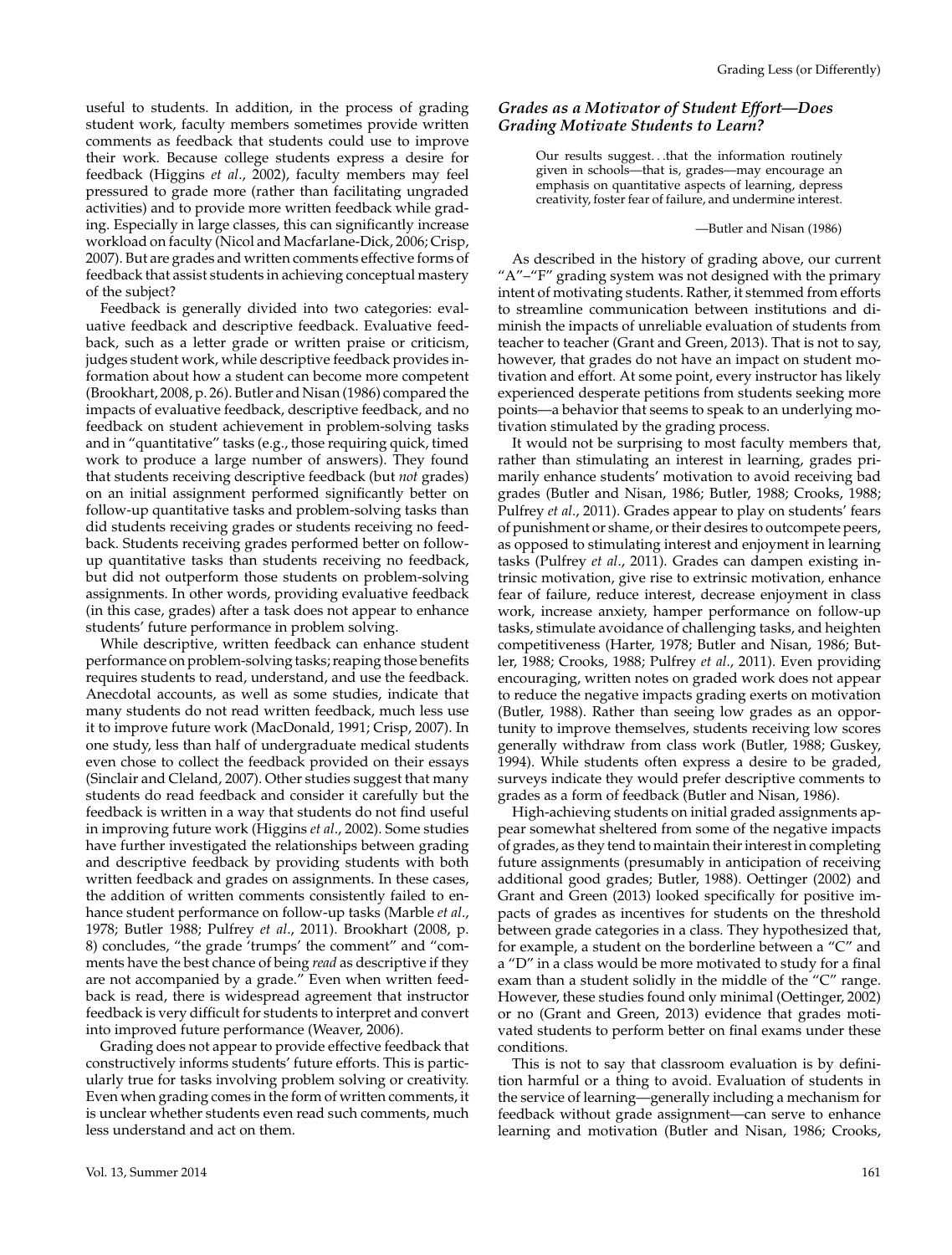useful to students. In addition, in the process of grading student work, faculty members sometimes provide written comments as feedback that students could use to improve their work. Because college students express a desire for feedback (Higgins *et al*., 2002), faculty members may feel pressured to grade more (rather than facilitating ungraded activities) and to provide more written feedback while grading. Especially in large classes, this can significantly increase workload on faculty (Nicol and Macfarlane-Dick, 2006; Crisp, 2007). But are grades and written comments effective forms of feedback that assist students in achieving conceptual mastery of the subject?

Feedback is generally divided into two categories: evaluative feedback and descriptive feedback. Evaluative feedback, such as a letter grade or written praise or criticism, judges student work, while descriptive feedback provides information about how a student can become more competent (Brookhart, 2008, p. 26). Butler and Nisan (1986) compared the impacts of evaluative feedback, descriptive feedback, and no feedback on student achievement in problem-solving tasks and in "quantitative" tasks (e.g., those requiring quick, timed work to produce a large number of answers). They found that students receiving descriptive feedback (but *not* grades) on an initial assignment performed significantly better on follow-up quantitative tasks and problem-solving tasks than did students receiving grades or students receiving no feedback. Students receiving grades performed better on followup quantitative tasks than students receiving no feedback, but did not outperform those students on problem-solving assignments. In other words, providing evaluative feedback (in this case, grades) after a task does not appear to enhance students' future performance in problem solving.

While descriptive, written feedback can enhance student performance on problem-solving tasks; reaping those benefits requires students to read, understand, and use the feedback. Anecdotal accounts, as well as some studies, indicate that many students do not read written feedback, much less use it to improve future work (MacDonald, 1991; Crisp, 2007). In one study, less than half of undergraduate medical students even chose to collect the feedback provided on their essays (Sinclair and Cleland, 2007). Other studies suggest that many students do read feedback and consider it carefully but the feedback is written in a way that students do not find useful in improving future work (Higgins *et al*., 2002). Some studies have further investigated the relationships between grading and descriptive feedback by providing students with both written feedback and grades on assignments. In these cases, the addition of written comments consistently failed to enhance student performance on follow-up tasks (Marble *et al*., 1978; Butler 1988; Pulfrey *et al*., 2011). Brookhart (2008, p. 8) concludes, "the grade 'trumps' the comment" and "comments have the best chance of being *read* as descriptive if they are not accompanied by a grade." Even when written feedback is read, there is widespread agreement that instructor feedback is very difficult for students to interpret and convert into improved future performance (Weaver, 2006).

Grading does not appear to provide effective feedback that constructively informs students' future efforts. This is particularly true for tasks involving problem solving or creativity. Even when grading comes in the form of written comments, it is unclear whether students even read such comments, much less understand and act on them.

#### *Grades as a Motivator of Student Effort—Does Grading Motivate Students to Learn?*

Our results suggest...that the information routinely given in schools—that is, grades—may encourage an emphasis on quantitative aspects of learning, depress creativity, foster fear of failure, and undermine interest.

—Butler and Nisan (1986)

As described in the history of grading above, our current "A"–"F" grading system was not designed with the primary intent of motivating students. Rather, it stemmed from efforts to streamline communication between institutions and diminish the impacts of unreliable evaluation of students from teacher to teacher (Grant and Green, 2013). That is not to say, however, that grades do not have an impact on student motivation and effort. At some point, every instructor has likely experienced desperate petitions from students seeking more points—a behavior that seems to speak to an underlying motivation stimulated by the grading process.

It would not be surprising to most faculty members that, rather than stimulating an interest in learning, grades primarily enhance students' motivation to avoid receiving bad grades (Butler and Nisan, 1986; Butler, 1988; Crooks, 1988; Pulfrey *et al*., 2011). Grades appear to play on students' fears of punishment or shame, or their desires to outcompete peers, as opposed to stimulating interest and enjoyment in learning tasks (Pulfrey *et al*., 2011). Grades can dampen existing intrinsic motivation, give rise to extrinsic motivation, enhance fear of failure, reduce interest, decrease enjoyment in class work, increase anxiety, hamper performance on follow-up tasks, stimulate avoidance of challenging tasks, and heighten competitiveness (Harter, 1978; Butler and Nisan, 1986; Butler, 1988; Crooks, 1988; Pulfrey *et al*., 2011). Even providing encouraging, written notes on graded work does not appear to reduce the negative impacts grading exerts on motivation (Butler, 1988). Rather than seeing low grades as an opportunity to improve themselves, students receiving low scores generally withdraw from class work (Butler, 1988; Guskey, 1994). While students often express a desire to be graded, surveys indicate they would prefer descriptive comments to grades as a form of feedback (Butler and Nisan, 1986).

High-achieving students on initial graded assignments appear somewhat sheltered from some of the negative impacts of grades, as they tend to maintain their interest in completing future assignments (presumably in anticipation of receiving additional good grades; Butler, 1988). Oettinger (2002) and Grant and Green (2013) looked specifically for positive impacts of grades as incentives for students on the threshold between grade categories in a class. They hypothesized that, for example, a student on the borderline between a "C" and a "D" in a class would be more motivated to study for a final exam than a student solidly in the middle of the "C" range. However, these studies found only minimal (Oettinger, 2002) or no (Grant and Green, 2013) evidence that grades motivated students to perform better on final exams under these conditions.

This is not to say that classroom evaluation is by definition harmful or a thing to avoid. Evaluation of students in the service of learning—generally including a mechanism for feedback without grade assignment—can serve to enhance learning and motivation (Butler and Nisan, 1986; Crooks,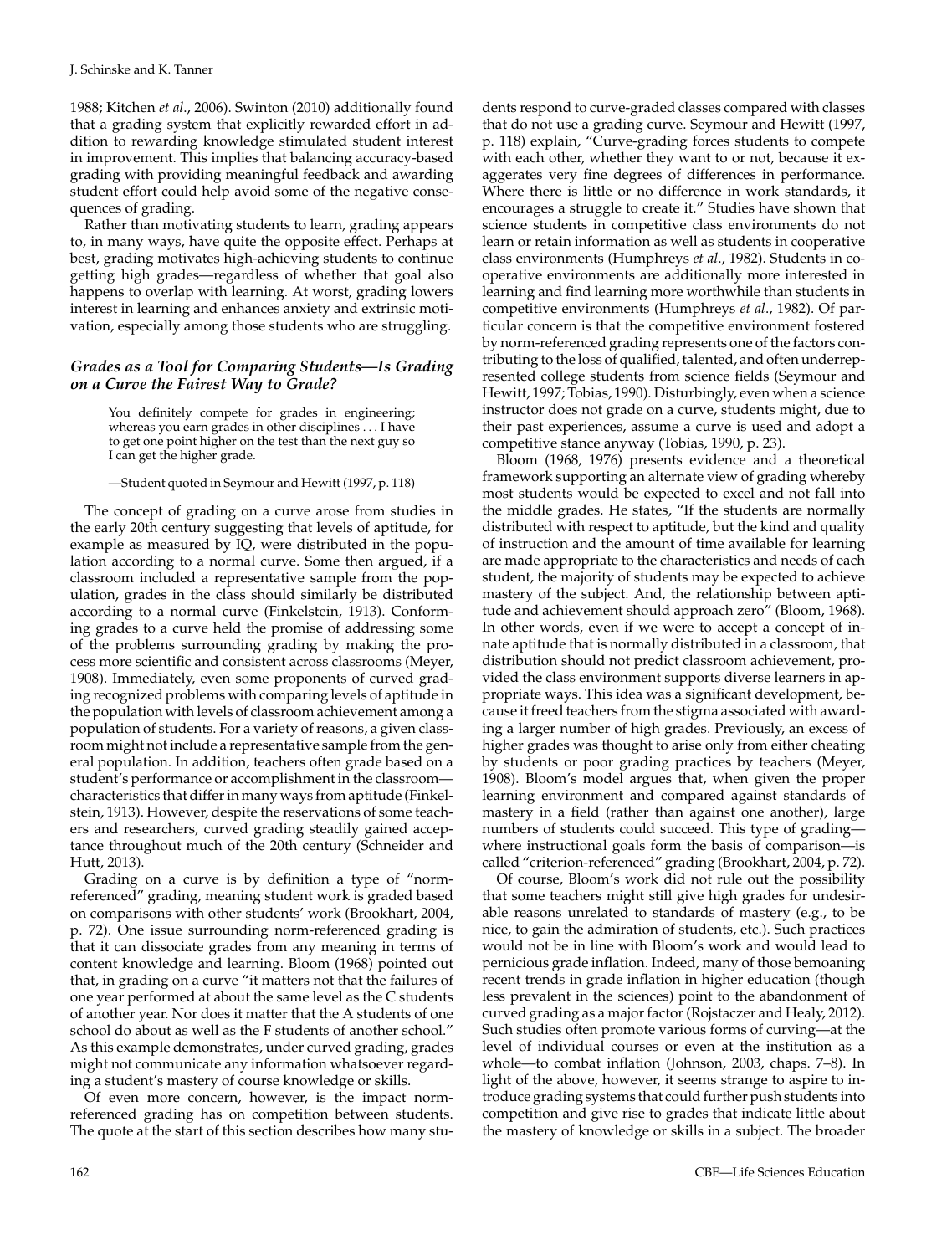1988; Kitchen *et al*., 2006). Swinton (2010) additionally found that a grading system that explicitly rewarded effort in addition to rewarding knowledge stimulated student interest in improvement. This implies that balancing accuracy-based grading with providing meaningful feedback and awarding student effort could help avoid some of the negative consequences of grading.

Rather than motivating students to learn, grading appears to, in many ways, have quite the opposite effect. Perhaps at best, grading motivates high-achieving students to continue getting high grades—regardless of whether that goal also happens to overlap with learning. At worst, grading lowers interest in learning and enhances anxiety and extrinsic motivation, especially among those students who are struggling.

#### *Grades as a Tool for Comparing Students—Is Grading on a Curve the Fairest Way to Grade?*

You definitely compete for grades in engineering; whereas you earn grades in other disciplines ... I have to get one point higher on the test than the next guy so I can get the higher grade.

#### —Student quoted in Seymour and Hewitt (1997, p. 118)

The concept of grading on a curve arose from studies in the early 20th century suggesting that levels of aptitude, for example as measured by IQ, were distributed in the population according to a normal curve. Some then argued, if a classroom included a representative sample from the population, grades in the class should similarly be distributed according to a normal curve (Finkelstein, 1913). Conforming grades to a curve held the promise of addressing some of the problems surrounding grading by making the process more scientific and consistent across classrooms (Meyer, 1908). Immediately, even some proponents of curved grading recognized problems with comparing levels of aptitude in the population with levels of classroom achievement among a population of students. For a variety of reasons, a given classroom might not include a representative sample from the general population. In addition, teachers often grade based on a student's performance or accomplishment in the classroom characteristics that differ in many ways from aptitude (Finkelstein, 1913). However, despite the reservations of some teachers and researchers, curved grading steadily gained acceptance throughout much of the 20th century (Schneider and Hutt, 2013).

Grading on a curve is by definition a type of "normreferenced" grading, meaning student work is graded based on comparisons with other students' work (Brookhart, 2004, p. 72). One issue surrounding norm-referenced grading is that it can dissociate grades from any meaning in terms of content knowledge and learning. Bloom (1968) pointed out that, in grading on a curve "it matters not that the failures of one year performed at about the same level as the C students of another year. Nor does it matter that the A students of one school do about as well as the F students of another school." As this example demonstrates, under curved grading, grades might not communicate any information whatsoever regarding a student's mastery of course knowledge or skills.

Of even more concern, however, is the impact normreferenced grading has on competition between students. The quote at the start of this section describes how many students respond to curve-graded classes compared with classes that do not use a grading curve. Seymour and Hewitt (1997, p. 118) explain, "Curve-grading forces students to compete with each other, whether they want to or not, because it exaggerates very fine degrees of differences in performance. Where there is little or no difference in work standards, it encourages a struggle to create it." Studies have shown that science students in competitive class environments do not learn or retain information as well as students in cooperative class environments (Humphreys *et al*., 1982). Students in cooperative environments are additionally more interested in learning and find learning more worthwhile than students in competitive environments (Humphreys *et al*., 1982). Of particular concern is that the competitive environment fostered by norm-referenced grading represents one of the factors contributing to the loss of qualified, talented, and often underrepresented college students from science fields (Seymour and Hewitt, 1997; Tobias, 1990). Disturbingly, even when a science instructor does not grade on a curve, students might, due to their past experiences, assume a curve is used and adopt a competitive stance anyway (Tobias, 1990, p. 23).

Bloom (1968, 1976) presents evidence and a theoretical framework supporting an alternate view of grading whereby most students would be expected to excel and not fall into the middle grades. He states, "If the students are normally distributed with respect to aptitude, but the kind and quality of instruction and the amount of time available for learning are made appropriate to the characteristics and needs of each student, the majority of students may be expected to achieve mastery of the subject. And, the relationship between aptitude and achievement should approach zero" (Bloom, 1968). In other words, even if we were to accept a concept of innate aptitude that is normally distributed in a classroom, that distribution should not predict classroom achievement, provided the class environment supports diverse learners in appropriate ways. This idea was a significant development, because it freed teachers from the stigma associated with awarding a larger number of high grades. Previously, an excess of higher grades was thought to arise only from either cheating by students or poor grading practices by teachers (Meyer, 1908). Bloom's model argues that, when given the proper learning environment and compared against standards of mastery in a field (rather than against one another), large numbers of students could succeed. This type of grading where instructional goals form the basis of comparison—is called "criterion-referenced" grading (Brookhart, 2004, p. 72).

Of course, Bloom's work did not rule out the possibility that some teachers might still give high grades for undesirable reasons unrelated to standards of mastery (e.g., to be nice, to gain the admiration of students, etc.). Such practices would not be in line with Bloom's work and would lead to pernicious grade inflation. Indeed, many of those bemoaning recent trends in grade inflation in higher education (though less prevalent in the sciences) point to the abandonment of curved grading as a major factor (Rojstaczer and Healy, 2012). Such studies often promote various forms of curving—at the level of individual courses or even at the institution as a whole—to combat inflation (Johnson, 2003, chaps. 7–8). In light of the above, however, it seems strange to aspire to introduce grading systems that could further push students into competition and give rise to grades that indicate little about the mastery of knowledge or skills in a subject. The broader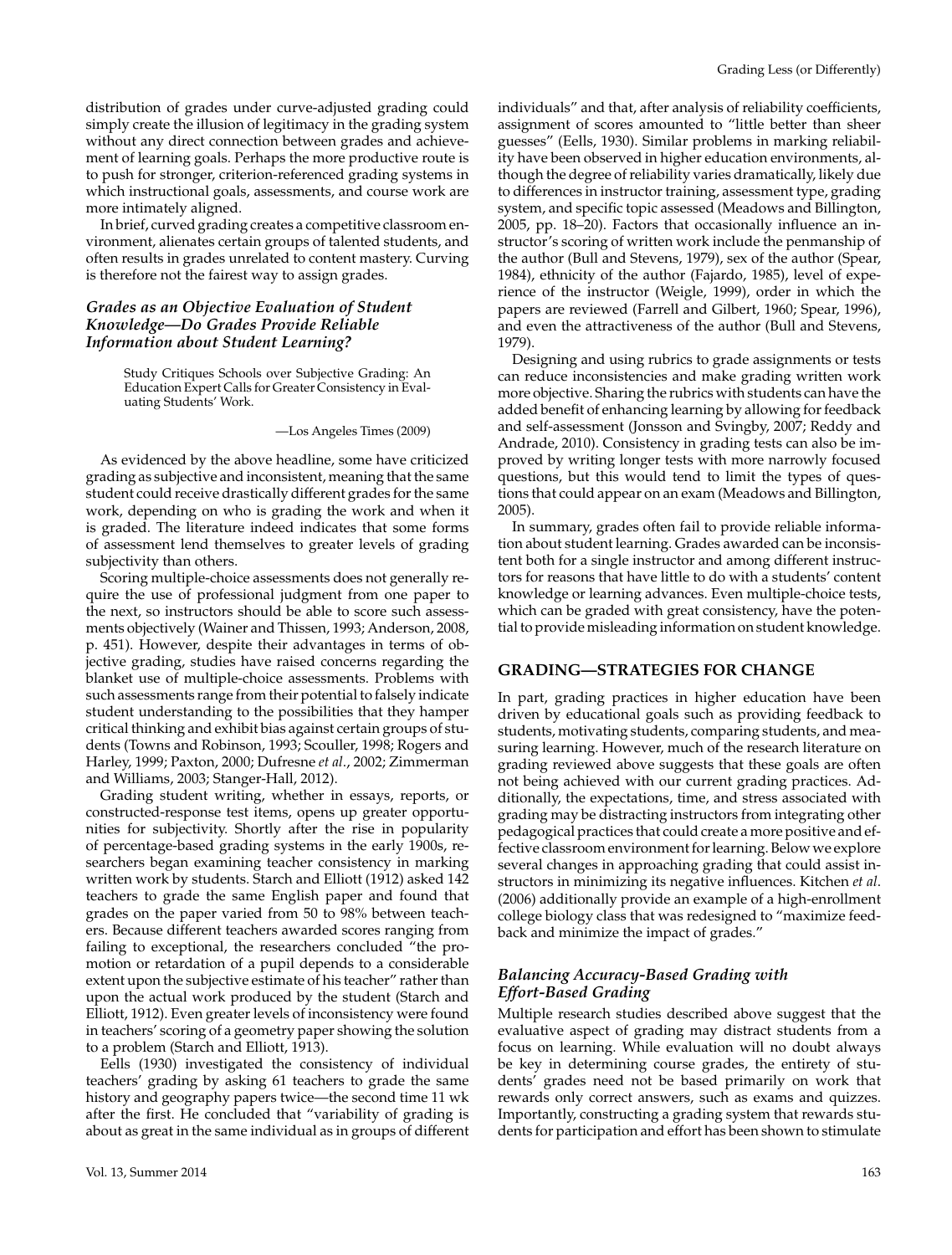distribution of grades under curve-adjusted grading could simply create the illusion of legitimacy in the grading system without any direct connection between grades and achievement of learning goals. Perhaps the more productive route is to push for stronger, criterion-referenced grading systems in which instructional goals, assessments, and course work are more intimately aligned.

In brief, curved grading creates a competitive classroom environment, alienates certain groups of talented students, and often results in grades unrelated to content mastery. Curving is therefore not the fairest way to assign grades.

#### *Grades as an Objective Evaluation of Student Knowledge—Do Grades Provide Reliable Information about Student Learning?*

Study Critiques Schools over Subjective Grading: An Education Expert Calls for Greater Consistency in Evaluating Students' Work.

—Los Angeles Times (2009)

As evidenced by the above headline, some have criticized grading as subjective and inconsistent, meaning that the same student could receive drastically different grades for the same work, depending on who is grading the work and when it is graded. The literature indeed indicates that some forms of assessment lend themselves to greater levels of grading subjectivity than others.

Scoring multiple-choice assessments does not generally require the use of professional judgment from one paper to the next, so instructors should be able to score such assessments objectively (Wainer and Thissen, 1993; Anderson, 2008, p. 451). However, despite their advantages in terms of objective grading, studies have raised concerns regarding the blanket use of multiple-choice assessments. Problems with such assessments range from their potential to falsely indicate student understanding to the possibilities that they hamper critical thinking and exhibit bias against certain groups of students (Towns and Robinson, 1993; Scouller, 1998; Rogers and Harley, 1999; Paxton, 2000; Dufresne *et al*., 2002; Zimmerman and Williams, 2003; Stanger-Hall, 2012).

Grading student writing, whether in essays, reports, or constructed-response test items, opens up greater opportunities for subjectivity. Shortly after the rise in popularity of percentage-based grading systems in the early 1900s, researchers began examining teacher consistency in marking written work by students. Starch and Elliott (1912) asked 142 teachers to grade the same English paper and found that grades on the paper varied from 50 to 98% between teachers. Because different teachers awarded scores ranging from failing to exceptional, the researchers concluded "the promotion or retardation of a pupil depends to a considerable extent upon the subjective estimate of his teacher" rather than upon the actual work produced by the student (Starch and Elliott, 1912). Even greater levels of inconsistency were found in teachers' scoring of a geometry paper showing the solution to a problem (Starch and Elliott, 1913).

Eells (1930) investigated the consistency of individual teachers' grading by asking 61 teachers to grade the same history and geography papers twice—the second time 11 wk after the first. He concluded that "variability of grading is about as great in the same individual as in groups of different

individuals" and that, after analysis of reliability coefficients, assignment of scores amounted to "little better than sheer guesses" (Eells, 1930). Similar problems in marking reliability have been observed in higher education environments, although the degree of reliability varies dramatically, likely due to differences in instructor training, assessment type, grading system, and specific topic assessed (Meadows and Billington, 2005, pp. 18–20). Factors that occasionally influence an instructor's scoring of written work include the penmanship of the author (Bull and Stevens, 1979), sex of the author (Spear, 1984), ethnicity of the author (Fajardo, 1985), level of experience of the instructor (Weigle, 1999), order in which the papers are reviewed (Farrell and Gilbert, 1960; Spear, 1996), and even the attractiveness of the author (Bull and Stevens, 1979).

Designing and using rubrics to grade assignments or tests can reduce inconsistencies and make grading written work more objective. Sharing the rubrics with students can have the added benefit of enhancing learning by allowing for feedback and self-assessment (Jonsson and Svingby, 2007; Reddy and Andrade, 2010). Consistency in grading tests can also be improved by writing longer tests with more narrowly focused questions, but this would tend to limit the types of questions that could appear on an exam (Meadows and Billington, 2005).

In summary, grades often fail to provide reliable information about student learning. Grades awarded can be inconsistent both for a single instructor and among different instructors for reasons that have little to do with a students' content knowledge or learning advances. Even multiple-choice tests, which can be graded with great consistency, have the potential to provide misleading information on student knowledge.

#### **GRADING—STRATEGIES FOR CHANGE**

In part, grading practices in higher education have been driven by educational goals such as providing feedback to students, motivating students, comparing students, and measuring learning. However, much of the research literature on grading reviewed above suggests that these goals are often not being achieved with our current grading practices. Additionally, the expectations, time, and stress associated with grading may be distracting instructors from integrating other pedagogical practices that could create a more positive and effective classroom environment for learning. Below we explore several changes in approaching grading that could assist instructors in minimizing its negative influences. Kitchen *et al*. (2006) additionally provide an example of a high-enrollment college biology class that was redesigned to "maximize feedback and minimize the impact of grades."

# *Balancing Accuracy-Based Grading with Effort-Based Grading*

Multiple research studies described above suggest that the evaluative aspect of grading may distract students from a focus on learning. While evaluation will no doubt always be key in determining course grades, the entirety of students' grades need not be based primarily on work that rewards only correct answers, such as exams and quizzes. Importantly, constructing a grading system that rewards students for participation and effort has been shown to stimulate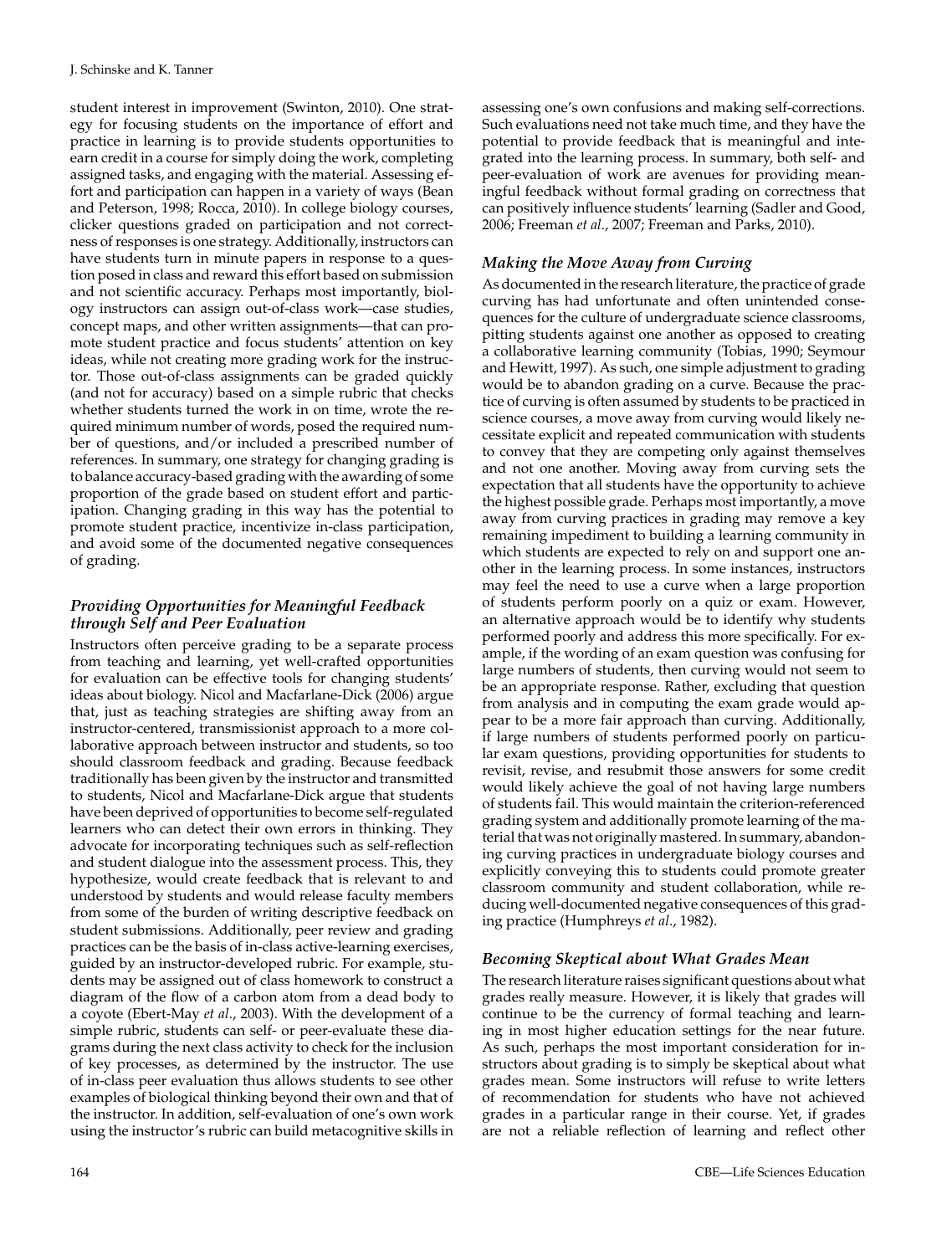student interest in improvement (Swinton, 2010). One strategy for focusing students on the importance of effort and practice in learning is to provide students opportunities to earn credit in a course for simply doing the work, completing assigned tasks, and engaging with the material. Assessing effort and participation can happen in a variety of ways (Bean and Peterson, 1998; Rocca, 2010). In college biology courses, clicker questions graded on participation and not correctness of responses is one strategy. Additionally, instructors can have students turn in minute papers in response to a question posed in class and reward this effort based on submission and not scientific accuracy. Perhaps most importantly, biology instructors can assign out-of-class work—case studies, concept maps, and other written assignments—that can promote student practice and focus students' attention on key ideas, while not creating more grading work for the instructor. Those out-of-class assignments can be graded quickly (and not for accuracy) based on a simple rubric that checks whether students turned the work in on time, wrote the required minimum number of words, posed the required number of questions, and/or included a prescribed number of references. In summary, one strategy for changing grading is to balance accuracy-based grading with the awarding of some proportion of the grade based on student effort and participation. Changing grading in this way has the potential to promote student practice, incentivize in-class participation, and avoid some of the documented negative consequences of grading.

# *Providing Opportunities for Meaningful Feedback through Self and Peer Evaluation*

Instructors often perceive grading to be a separate process from teaching and learning, yet well-crafted opportunities for evaluation can be effective tools for changing students' ideas about biology. Nicol and Macfarlane-Dick (2006) argue that, just as teaching strategies are shifting away from an instructor-centered, transmissionist approach to a more collaborative approach between instructor and students, so too should classroom feedback and grading. Because feedback traditionally has been given by the instructor and transmitted to students, Nicol and Macfarlane-Dick argue that students have been deprived of opportunities to become self-regulated learners who can detect their own errors in thinking. They advocate for incorporating techniques such as self-reflection and student dialogue into the assessment process. This, they hypothesize, would create feedback that is relevant to and understood by students and would release faculty members from some of the burden of writing descriptive feedback on student submissions. Additionally, peer review and grading practices can be the basis of in-class active-learning exercises, guided by an instructor-developed rubric. For example, students may be assigned out of class homework to construct a diagram of the flow of a carbon atom from a dead body to a coyote (Ebert-May *et al*., 2003). With the development of a simple rubric, students can self- or peer-evaluate these diagrams during the next class activity to check for the inclusion of key processes, as determined by the instructor. The use of in-class peer evaluation thus allows students to see other examples of biological thinking beyond their own and that of the instructor. In addition, self-evaluation of one's own work using the instructor's rubric can build metacognitive skills in

assessing one's own confusions and making self-corrections. Such evaluations need not take much time, and they have the potential to provide feedback that is meaningful and integrated into the learning process. In summary, both self- and peer-evaluation of work are avenues for providing meaningful feedback without formal grading on correctness that can positively influence students' learning (Sadler and Good, 2006; Freeman *et al*., 2007; Freeman and Parks, 2010).

# *Making the Move Away from Curving*

As documented in the research literature, the practice of grade curving has had unfortunate and often unintended consequences for the culture of undergraduate science classrooms, pitting students against one another as opposed to creating a collaborative learning community (Tobias, 1990; Seymour and Hewitt, 1997). As such, one simple adjustment to grading would be to abandon grading on a curve. Because the practice of curving is often assumed by students to be practiced in science courses, a move away from curving would likely necessitate explicit and repeated communication with students to convey that they are competing only against themselves and not one another. Moving away from curving sets the expectation that all students have the opportunity to achieve the highest possible grade. Perhaps most importantly, a move away from curving practices in grading may remove a key remaining impediment to building a learning community in which students are expected to rely on and support one another in the learning process. In some instances, instructors may feel the need to use a curve when a large proportion of students perform poorly on a quiz or exam. However, an alternative approach would be to identify why students performed poorly and address this more specifically. For example, if the wording of an exam question was confusing for large numbers of students, then curving would not seem to be an appropriate response. Rather, excluding that question from analysis and in computing the exam grade would appear to be a more fair approach than curving. Additionally, if large numbers of students performed poorly on particular exam questions, providing opportunities for students to revisit, revise, and resubmit those answers for some credit would likely achieve the goal of not having large numbers of students fail. This would maintain the criterion-referenced grading system and additionally promote learning of the material that was not originally mastered. In summary, abandoning curving practices in undergraduate biology courses and explicitly conveying this to students could promote greater classroom community and student collaboration, while reducing well-documented negative consequences of this grading practice (Humphreys *et al*., 1982).

# *Becoming Skeptical about What Grades Mean*

The research literature raises significant questions about what grades really measure. However, it is likely that grades will continue to be the currency of formal teaching and learning in most higher education settings for the near future. As such, perhaps the most important consideration for instructors about grading is to simply be skeptical about what grades mean. Some instructors will refuse to write letters of recommendation for students who have not achieved grades in a particular range in their course. Yet, if grades are not a reliable reflection of learning and reflect other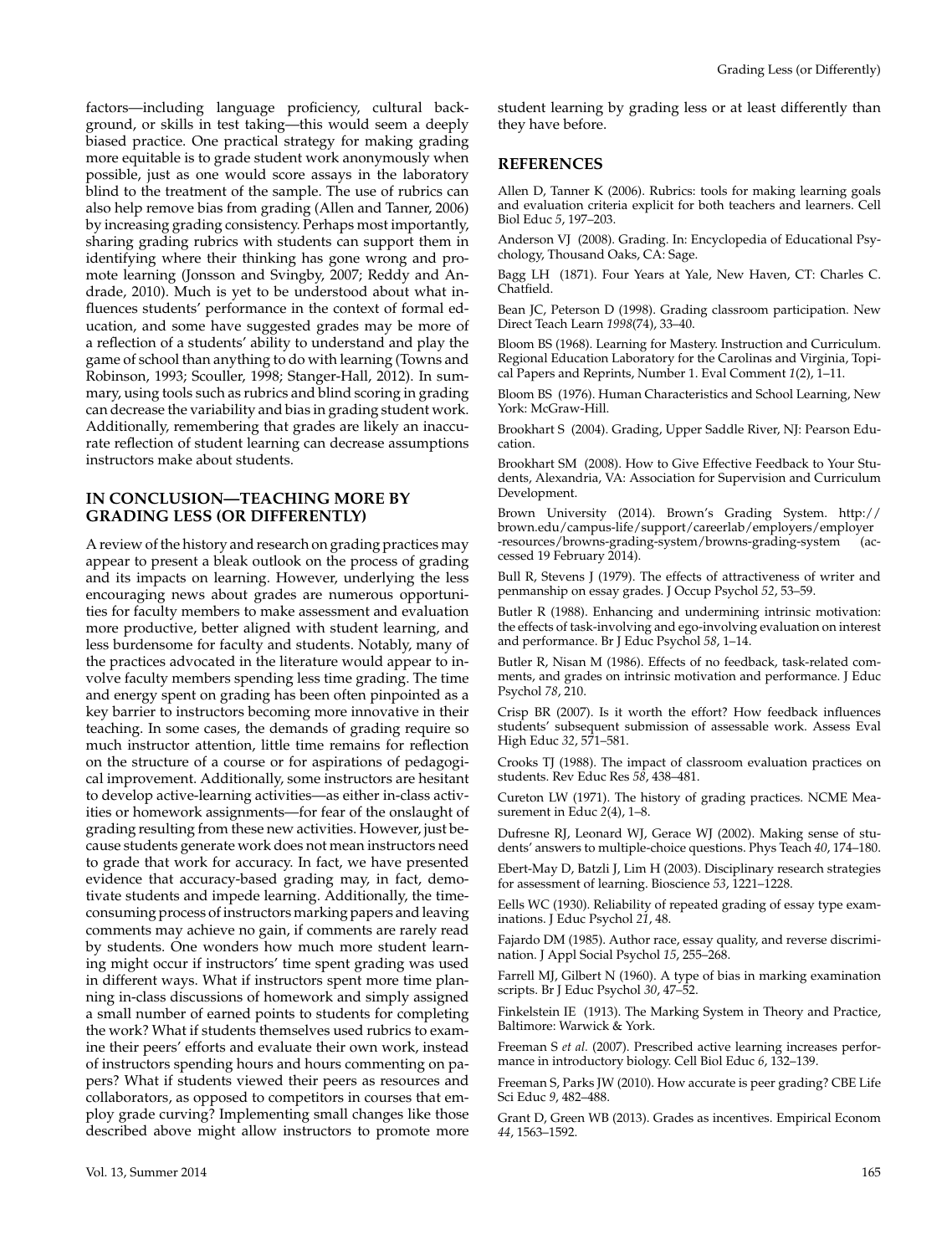factors—including language proficiency, cultural background, or skills in test taking—this would seem a deeply biased practice. One practical strategy for making grading more equitable is to grade student work anonymously when possible, just as one would score assays in the laboratory blind to the treatment of the sample. The use of rubrics can also help remove bias from grading (Allen and Tanner, 2006) by increasing grading consistency. Perhaps most importantly, sharing grading rubrics with students can support them in identifying where their thinking has gone wrong and promote learning (Jonsson and Svingby, 2007; Reddy and Andrade, 2010). Much is yet to be understood about what influences students' performance in the context of formal education, and some have suggested grades may be more of a reflection of a students' ability to understand and play the game of school than anything to do with learning (Towns and Robinson, 1993; Scouller, 1998; Stanger-Hall, 2012). In summary, using tools such as rubrics and blind scoring in grading can decrease the variability and bias in grading student work. Additionally, remembering that grades are likely an inaccurate reflection of student learning can decrease assumptions instructors make about students.

### **IN CONCLUSION—TEACHING MORE BY GRADING LESS (OR DIFFERENTLY)**

A review of the history and research on grading practices may appear to present a bleak outlook on the process of grading and its impacts on learning. However, underlying the less encouraging news about grades are numerous opportunities for faculty members to make assessment and evaluation more productive, better aligned with student learning, and less burdensome for faculty and students. Notably, many of the practices advocated in the literature would appear to involve faculty members spending less time grading. The time and energy spent on grading has been often pinpointed as a key barrier to instructors becoming more innovative in their teaching. In some cases, the demands of grading require so much instructor attention, little time remains for reflection on the structure of a course or for aspirations of pedagogical improvement. Additionally, some instructors are hesitant to develop active-learning activities—as either in-class activities or homework assignments—for fear of the onslaught of grading resulting from these new activities. However, just because students generate work does not mean instructors need to grade that work for accuracy. In fact, we have presented evidence that accuracy-based grading may, in fact, demotivate students and impede learning. Additionally, the timeconsuming process of instructors marking papers and leaving comments may achieve no gain, if comments are rarely read by students. One wonders how much more student learning might occur if instructors' time spent grading was used in different ways. What if instructors spent more time planning in-class discussions of homework and simply assigned a small number of earned points to students for completing the work? What if students themselves used rubrics to examine their peers' efforts and evaluate their own work, instead of instructors spending hours and hours commenting on papers? What if students viewed their peers as resources and collaborators, as opposed to competitors in courses that employ grade curving? Implementing small changes like those described above might allow instructors to promote more

student learning by grading less or at least differently than they have before.

# **REFERENCES**

Allen D, Tanner K (2006). Rubrics: tools for making learning goals and evaluation criteria explicit for both teachers and learners. Cell Biol Educ *5*, 197–203.

Anderson VJ (2008). Grading. In: Encyclopedia of Educational Psychology, Thousand Oaks, CA: Sage.

Bagg LH (1871). Four Years at Yale, New Haven, CT: Charles C. Chatfield.

Bean JC, Peterson D (1998). Grading classroom participation. New Direct Teach Learn *1998*(74), 33–40.

Bloom BS (1968). Learning for Mastery. Instruction and Curriculum. Regional Education Laboratory for the Carolinas and Virginia, Topical Papers and Reprints, Number 1. Eval Comment *1*(2), 1–11.

Bloom BS (1976). Human Characteristics and School Learning, New York: McGraw-Hill.

Brookhart S (2004). Grading, Upper Saddle River, NJ: Pearson Education.

Brookhart SM (2008). How to Give Effective Feedback to Your Students, Alexandria, VA: Association for Supervision and Curriculum Development.

Brown University (2014). Brown's Grading System. [http://](http://brown.edu/campus-life/support/careerlab/employers/employer-resources/browns-grading-system/browns-grading-system) [brown.edu/campus-life/support/careerlab/employers/employer](http://brown.edu/campus-life/support/careerlab/employers/employer-resources/browns-grading-system/browns-grading-system) [-resources/browns-grading-system/browns-grading-system](http://brown.edu/campus-life/support/careerlab/employers/employer-resources/browns-grading-system/browns-grading-system) (accessed 19 February 2014).

Bull R, Stevens J (1979). The effects of attractiveness of writer and penmanship on essay grades. J Occup Psychol *52*, 53–59.

Butler R (1988). Enhancing and undermining intrinsic motivation: the effects of task-involving and ego-involving evaluation on interest and performance. Br J Educ Psychol *58*, 1–14.

Butler R, Nisan M (1986). Effects of no feedback, task-related comments, and grades on intrinsic motivation and performance. J Educ Psychol *78*, 210.

Crisp BR (2007). Is it worth the effort? How feedback influences students' subsequent submission of assessable work. Assess Eval High Educ *32*, 571–581.

Crooks TJ (1988). The impact of classroom evaluation practices on students. Rev Educ Res *58*, 438–481.

Cureton LW (1971). The history of grading practices. NCME Measurement in Educ *2*(4), 1–8.

Dufresne RJ, Leonard WJ, Gerace WJ (2002). Making sense of students' answers to multiple-choice questions. Phys Teach *40*, 174–180.

Ebert-May D, Batzli J, Lim H (2003). Disciplinary research strategies for assessment of learning. Bioscience *53*, 1221–1228.

Eells WC (1930). Reliability of repeated grading of essay type examinations. J Educ Psychol *21*, 48.

Fajardo DM (1985). Author race, essay quality, and reverse discrimination. J Appl Social Psychol *15*, 255–268.

Farrell MJ, Gilbert N (1960). A type of bias in marking examination scripts. Br J Educ Psychol *30*, 47–52.

Finkelstein IE (1913). The Marking System in Theory and Practice, Baltimore: Warwick & York.

Freeman S *et al.* (2007). Prescribed active learning increases performance in introductory biology. Cell Biol Educ *6*, 132–139.

Freeman S, Parks JW (2010). How accurate is peer grading? CBE Life Sci Educ *9*, 482–488.

Grant D, Green WB (2013). Grades as incentives. Empirical Econom *44*, 1563–1592.